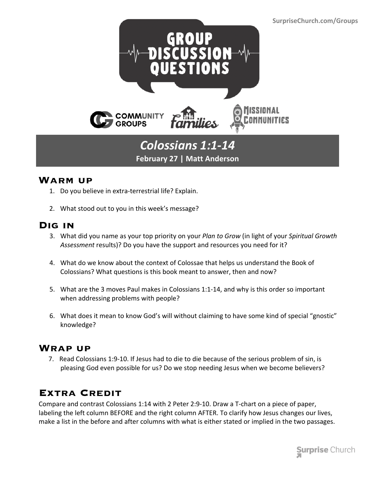

## *Colossians 1:1-14* **February 27 | Matt Anderson**

#### **Warm up**

- 1. Do you believe in extra-terrestrial life? Explain.
- 2. What stood out to you in this week's message?

#### **Dig in**

- 3. What did you name as your top priority on your *Plan to Grow* (in light of your *Spiritual Growth Assessment* results)? Do you have the support and resources you need for it?
- 4. What do we know about the context of Colossae that helps us understand the Book of Colossians? What questions is this book meant to answer, then and now?
- 5. What are the 3 moves Paul makes in Colossians 1:1-14, and why is this order so important when addressing problems with people?
- 6. What does it mean to know God's will without claiming to have some kind of special "gnostic" knowledge?

#### **Wrap up**

 7. Read Colossians 1:9-10. If Jesus had to die to die because of the serious problem of sin, is pleasing God even possible for us? Do we stop needing Jesus when we become believers?

### **Extra Credit**

Compare and contrast Colossians 1:14 with 2 Peter 2:9-10. Draw a T-chart on a piece of paper, labeling the left column BEFORE and the right column AFTER. To clarify how Jesus changes our lives, make a list in the before and after columns with what is either stated or implied in the two passages.